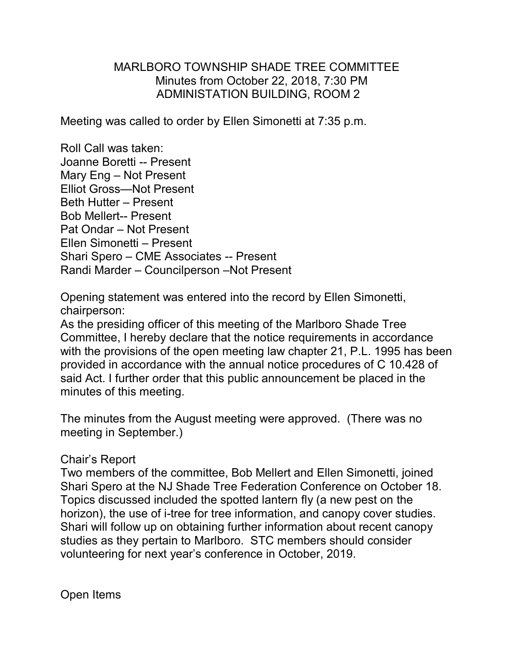## MARLBORO TOWNSHIP SHADE TREE COMMITTEE Minutes from October 22, 2018, 7:30 PM ADMINISTATION BUILDING, ROOM 2

Meeting was called to order by Ellen Simonetti at 7:35 p.m.

Roll Call was taken: Joanne Boretti -- Present Mary Eng – Not Present Elliot Gross—Not Present Beth Hutter – Present Bob Mellert-- Present Pat Ondar – Not Present Ellen Simonetti – Present Shari Spero – CME Associates -- Present Randi Marder – Councilperson –Not Present

Opening statement was entered into the record by Ellen Simonetti, chairperson:

As the presiding officer of this meeting of the Marlboro Shade Tree Committee, I hereby declare that the notice requirements in accordance with the provisions of the open meeting law chapter 21, P.L. 1995 has been provided in accordance with the annual notice procedures of C 10.428 of said Act. I further order that this public announcement be placed in the minutes of this meeting.

The minutes from the August meeting were approved. (There was no meeting in September.)

## Chair's Report

Two members of the committee, Bob Mellert and Ellen Simonetti, joined Shari Spero at the NJ Shade Tree Federation Conference on October 18. Topics discussed included the spotted lantern fly (a new pest on the horizon), the use of i-tree for tree information, and canopy cover studies. Shari will follow up on obtaining further information about recent canopy studies as they pertain to Marlboro. STC members should consider volunteering for next year's conference in October, 2019.

Open Items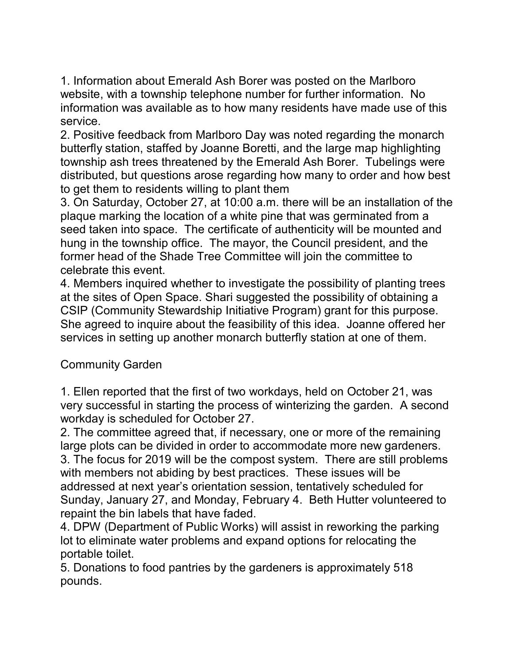1. Information about Emerald Ash Borer was posted on the Marlboro website, with a township telephone number for further information. No information was available as to how many residents have made use of this service.

2. Positive feedback from Marlboro Day was noted regarding the monarch butterfly station, staffed by Joanne Boretti, and the large map highlighting township ash trees threatened by the Emerald Ash Borer. Tubelings were distributed, but questions arose regarding how many to order and how best to get them to residents willing to plant them

3. On Saturday, October 27, at 10:00 a.m. there will be an installation of the plaque marking the location of a white pine that was germinated from a seed taken into space. The certificate of authenticity will be mounted and hung in the township office. The mayor, the Council president, and the former head of the Shade Tree Committee will join the committee to celebrate this event.

4. Members inquired whether to investigate the possibility of planting trees at the sites of Open Space. Shari suggested the possibility of obtaining a CSIP (Community Stewardship Initiative Program) grant for this purpose. She agreed to inquire about the feasibility of this idea. Joanne offered her services in setting up another monarch butterfly station at one of them.

## Community Garden

1. Ellen reported that the first of two workdays, held on October 21, was very successful in starting the process of winterizing the garden. A second workday is scheduled for October 27.

2. The committee agreed that, if necessary, one or more of the remaining large plots can be divided in order to accommodate more new gardeners. 3. The focus for 2019 will be the compost system. There are still problems with members not abiding by best practices. These issues will be addressed at next year's orientation session, tentatively scheduled for Sunday, January 27, and Monday, February 4. Beth Hutter volunteered to repaint the bin labels that have faded.

4. DPW (Department of Public Works) will assist in reworking the parking lot to eliminate water problems and expand options for relocating the portable toilet.

5. Donations to food pantries by the gardeners is approximately 518 pounds.